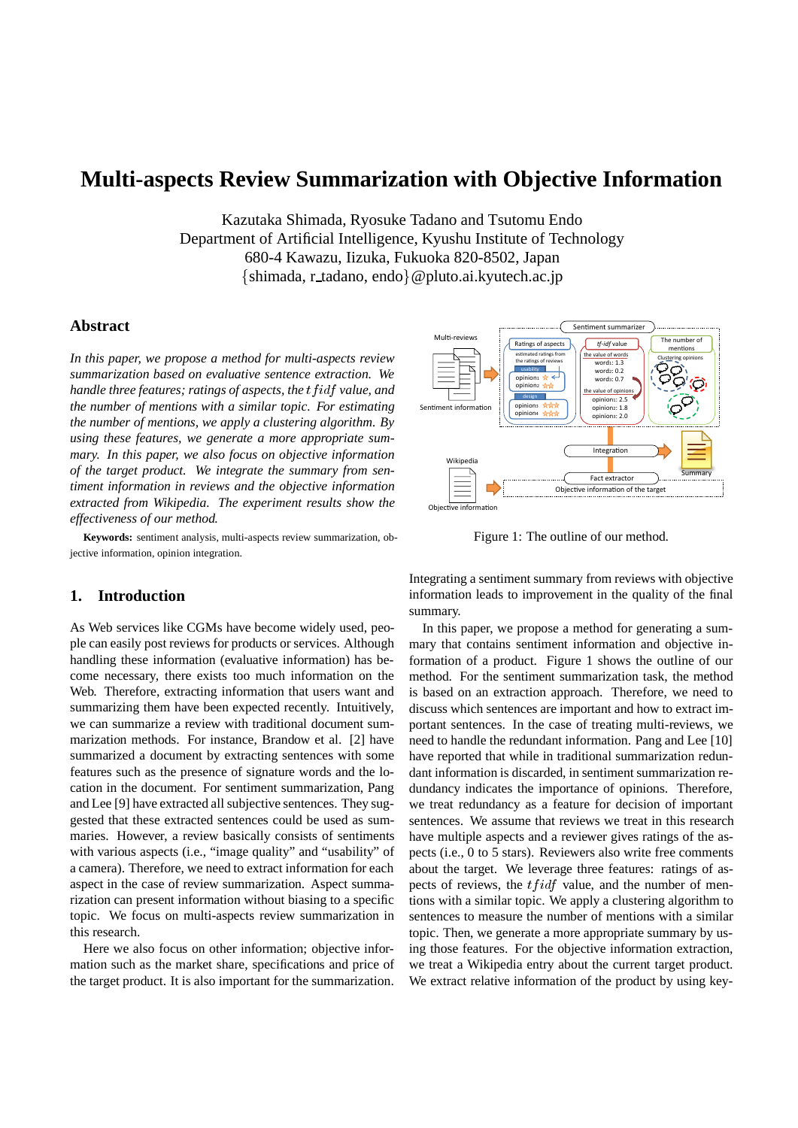# **Multi-aspects Review Summarization with Objective Information**

Kazutaka Shimada, Ryosuke Tadano and Tsutomu Endo Department of Artificial Intelligence, Kyushu Institute of Technology 680-4 Kawazu, Iizuka, Fukuoka 820-8502, Japan {shimada, r\_tadano, endo} @pluto.ai.kyutech.ac.jp

### **Abstract**

*In this paper, we propose a method for multi-aspects review summarization based on evaluative sentence extraction. We* handle three features; ratings of aspects, the  $tfidf$  value, and *the number of mentions with a similar topic. For estimating the number of mentions, we apply a clustering algorithm. By using these features, we generate a more appropriate summary. In this paper, we also focus on objective information of the target product. We integrate the summary from sentiment information in reviews and the objective information extracted from Wikipedia. The experiment results show the effectiveness of our method.*

**Keywords:** sentiment analysis, multi-aspects review summarization, objective information, opinion integration.

# **1. Introduction**

As Web services like CGMs have become widely used, people can easily post reviews for products or services. Although handling these information (evaluative information) has become necessary, there exists too much information on the Web. Therefore, extracting information that users want and summarizing them have been expected recently. Intuitively, we can summarize a review with traditional document summarization methods. For instance, Brandow et al. [2] have summarized a document by extracting sentences with some features such as the presence of signature words and the location in the document. For sentiment summarization, Pang and Lee [9] have extracted all subjective sentences. They suggested that these extracted sentences could be used as summaries. However, a review basically consists of sentiments with various aspects (i.e., "image quality" and "usability" of a camera). Therefore, we need to extract information for each aspect in the case of review summarization. Aspect summarization can present information without biasing to a specific topic. We focus on multi-aspects review summarization in this research.

Here we also focus on other information; objective information such as the market share, specifications and price of the target product. It is also important for the summarization.



Figure 1: The outline of our method.

Integrating a sentiment summary from reviews with objective information leads to improvement in the quality of the final summary.

In this paper, we propose a method for generating a summary that contains sentiment information and objective information of a product. Figure 1 shows the outline of our method. For the sentiment summarization task, the method is based on an extraction approach. Therefore, we need to discuss which sentences are important and how to extract important sentences. In the case of treating multi-reviews, we need to handle the redundant information. Pang and Lee [10] have reported that while in traditional summarization redundant information is discarded, in sentiment summarization redundancy indicates the importance of opinions. Therefore, we treat redundancy as a feature for decision of important sentences. We assume that reviews we treat in this research have multiple aspects and a reviewer gives ratings of the aspects (i.e., 0 to 5 stars). Reviewers also write free comments about the target. We leverage three features: ratings of aspects of reviews, the  $tfidf$  value, and the number of mentions with a similar topic. We apply a clustering algorithm to sentences to measure the number of mentions with a similar topic. Then, we generate a more appropriate summary by using those features. For the objective information extraction, we treat a Wikipedia entry about the current target product. We extract relative information of the product by using key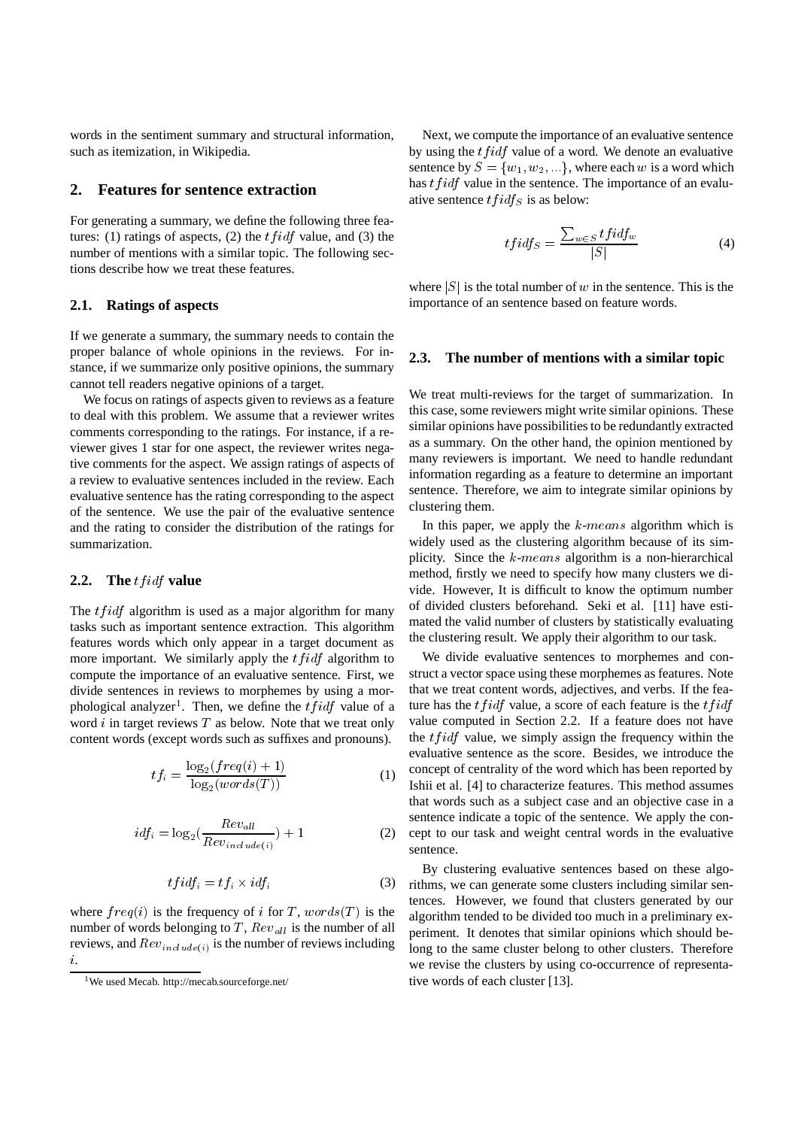words in the sentiment summary and structural information, such as itemization, in Wikipedia.

#### **2. Features for sentence extraction**

For generating a summary, we define the following three features: (1) ratings of aspects, (2) the  $tfidf$  value, and (3) the number of mentions with a similar topic. The following sections describe how we treat these features.

#### **2.1. Ratings of aspects**

If we generate a summary, the summary needs to contain the proper balance of whole opinions in the reviews. For instance, if we summarize only positive opinions, the summary cannot tell readers negative opinions of a target.

We focus on ratings of aspects given to reviews as a feature to deal with this problem. We assume that a reviewer writes comments corresponding to the ratings. For instance, if a reviewer gives 1 star for one aspect, the reviewer writes negative comments for the aspect. We assign ratings of aspects of a review to evaluative sentences included in the review. Each evaluative sentence has the rating corresponding to the aspect of the sentence. We use the pair of the evaluative sentence and the rating to consider the distribution of the ratings for summarization.

#### **2.2.** The *tfidf* value

The  $tfidf$  algorithm is used as a major algorithm for many tasks such as important sentence extraction. This algorithm features words which only appear in a target document as more important. We similarly apply the  $tfidf$  algorithm to compute the importance of an evaluative sentence. First, we divide sentences in reviews to morphemes by using a morphological analyzer<sup>1</sup>. Then, we define the  $tfidf$  value of a word  $i$  in target reviews  $T$  as below. Note that we treat only content words (except words such as suffixes and pronouns).

$$
tf_i = \frac{\log_2(freq(i) + 1)}{\log_2(words(T))}
$$
 (1)

$$
idf_i = \log_2(\frac{Rev_{all}}{Rev_{include(i)}}) + 1
$$
 (2)

$$
tfidf_i = tf_i \times idf_i \tag{3}
$$

where  $freq(i)$  is the frequency of *i* for T, words (T) is the number of words belonging to T,  $Rev_{all}$  is the number of all reviews, and  $Rev_{include(i)}$  is the number of reviews including i.

Next, we compute the importance of an evaluative sentence by using the  $tfidf$  value of a word. We denote an evaluative sentence by  $S = \{w_1, w_2, ...\}$ , where each w is a word which has  $tfidf$  value in the sentence. The importance of an evaluative sentence  $tfidf_S$  is as below:

$$
tfidf_S = \frac{\sum_{w \in S} tfidf_w}{|S|} \tag{4}
$$

where  $|S|$  is the total number of w in the sentence. This is the importance of an sentence based on feature words.

### **2.3. The number of mentions with a similar topic**

We treat multi-reviews for the target of summarization. In this case, some reviewers might write similar opinions. These similar opinions have possibilities to be redundantly extracted as a summary. On the other hand, the opinion mentioned by many reviewers is important. We need to handle redundant information regarding as a feature to determine an important sentence. Therefore, we aim to integrate similar opinions by clustering them.

In this paper, we apply the  $k$ -means algorithm which is widely used as the clustering algorithm because of its simplicity. Since the  $k$ -means algorithm is a non-hierarchical method, firstly we need to specify how many clusters we divide. However, It is difficult to know the optimum number of divided clusters beforehand. Seki et al. [11] have estimated the valid number of clusters by statistically evaluating the clustering result. We apply their algorithm to our task.

We divide evaluative sentences to morphemes and construct a vector space using these morphemes as features. Note that we treat content words, adjectives, and verbs. If the feature has the  $tfidf$  value, a score of each feature is the  $tfidf$ value computed in Section 2.2. If a feature does not have the  $tfidf$  value, we simply assign the frequency within the evaluative sentence as the score. Besides, we introduce the concept of centrality of the word which has been reported by Ishii et al. [4] to characterize features. This method assumes that words such as a subject case and an objective case in a sentence indicate a topic of the sentence. We apply the concept to our task and weight central words in the evaluative sentence.

By clustering evaluative sentences based on these algorithms, we can generate some clusters including similar sentences. However, we found that clusters generated by our algorithm tended to be divided too much in a preliminary experiment. It denotes that similar opinions which should belong to the same cluster belong to other clusters. Therefore we revise the clusters by using co-occurrence of representative words of each cluster [13].

<sup>1</sup>We used Mecab. http://mecab.sourceforge.net/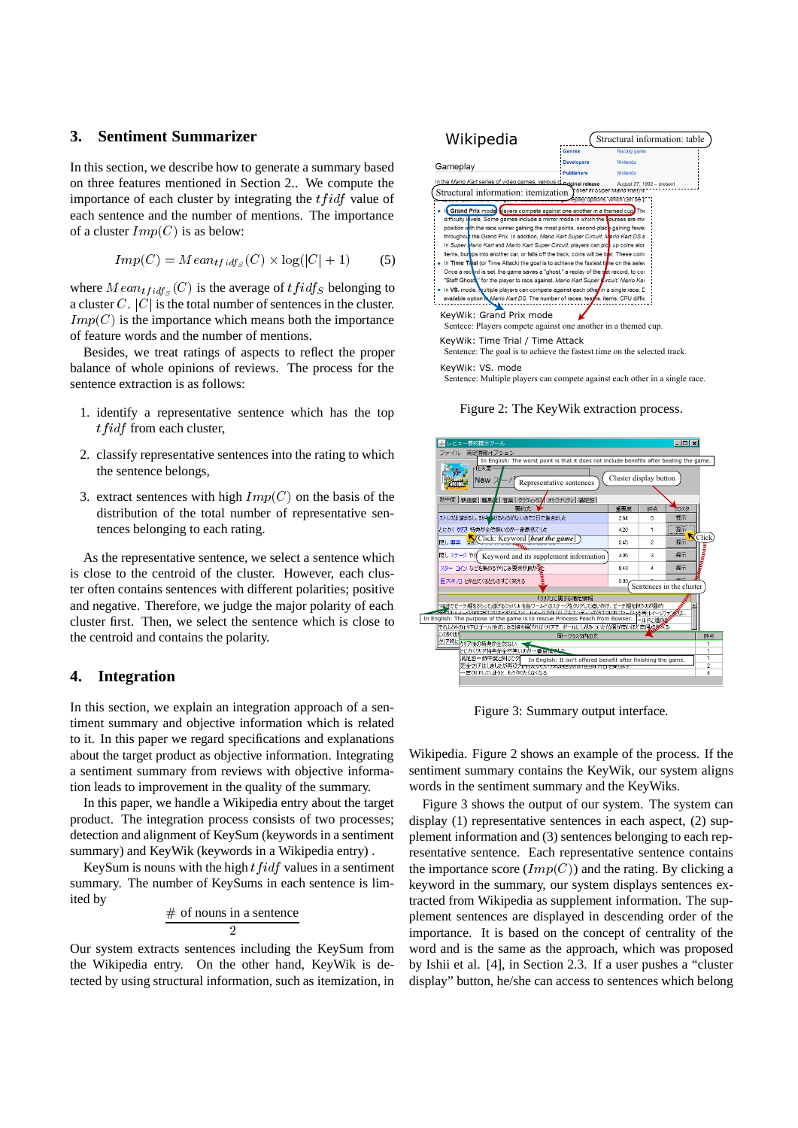# **3. Sentiment Summarizer**

In this section, we describe how to generate a summary based on three features mentioned in Section 2.. We compute the importance of each cluster by integrating the  $tfidf$  value of each sentence and the number of mentions. The importance of a cluster  $Imp(C)$  is as below:

$$
Imp(C) = Mean_{tfidf_S}(C) \times \log(|C| + 1)
$$
 (5)

where  $Mean_{tfidf_S}(C)$  is the average of  $tfidf_S$  belonging to a cluster  $C$ .  $|C|$  is the total number of sentences in the cluster.  $Imp(C)$  is the importance which means both the importance of feature words and the number of mentions.

Besides, we treat ratings of aspects to reflect the proper balance of whole opinions of reviews. The process for the sentence extraction is as follows:

- 1. identify a representative sentence which has the top  $tfidf$  from each cluster,
- 2. classify representative sentences into the rating to which the sentence belongs,
- 3. extract sentences with high  $Imp(C)$  on the basis of the distribution of the total number of representative sentences belonging to each rating.

As the representative sentence, we select a sentence which is close to the centroid of the cluster. However, each cluster often contains sentences with different polarities; positive and negative. Therefore, we judge the major polarity of each cluster first. Then, we select the sentence which is close to the centroid and contains the polarity.

#### **4. Integration**

In this section, we explain an integration approach of a sentiment summary and objective information which is related to it. In this paper we regard specifications and explanations about the target product as objective information. Integrating a sentiment summary from reviews with objective information leads to improvement in the quality of the summary.

In this paper, we handle a Wikipedia entry about the target product. The integration process consists of two processes; detection and alignment of KeySum (keywords in a sentiment summary) and KeyWik (keywords in a Wikipedia entry) .

KeySum is nouns with the high  $tfidf$  values in a sentiment summary. The number of KeySums in each sentence is limited by

$$
\frac{\text{\# of nouns in a sentence}}{2}
$$

Our system extracts sentences including the KeySum from the Wikipedia entry. On the other hand, KeyWik is detected by using structural information, such as itemization, in



Sentence: Multiple players can compete against each other in a single race.

Figure 2: The KeyWik extraction process.



Figure 3: Summary output interface.

Wikipedia. Figure 2 shows an example of the process. If the sentiment summary contains the KeyWik, our system aligns words in the sentiment summary and the KeyWiks.

Figure 3 shows the output of our system. The system can display (1) representative sentences in each aspect, (2) supplement information and (3) sentences belonging to each representative sentence. Each representative sentence contains the importance score  $(Imp(C))$  and the rating. By clicking a keyword in the summary, our system displays sentences extracted from Wikipedia as supplement information. The supplement sentences are displayed in descending order of the importance. It is based on the concept of centrality of the word and is the same as the approach, which was proposed by Ishii et al. [4], in Section 2.3. If a user pushes a "cluster display" button, he/she can access to sentences which belong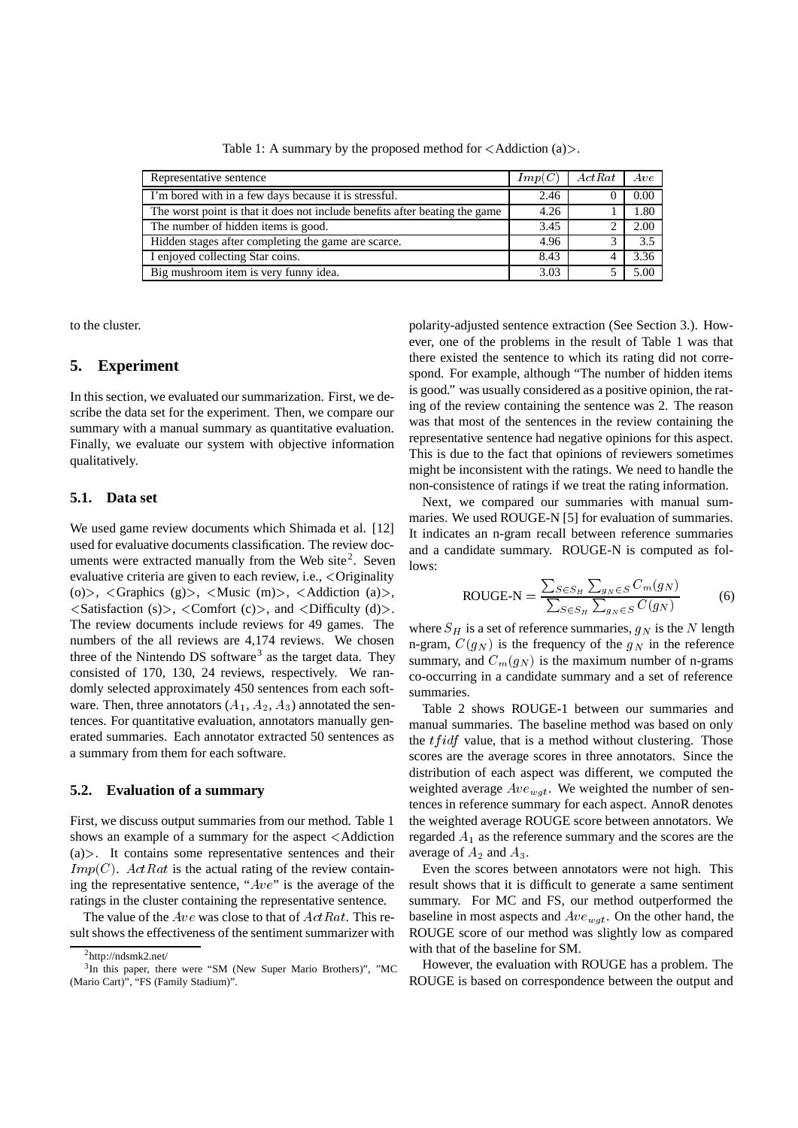| Representative sentence                                                     | Imp(C) | ActRat | Ave  |
|-----------------------------------------------------------------------------|--------|--------|------|
| I'm bored with in a few days because it is stressful.                       | 2.46   |        | 0.00 |
| The worst point is that it does not include benefits after beating the game | 4.26   |        | 1.80 |
| The number of hidden items is good.                                         | 3.45   |        | 2.00 |
| Hidden stages after completing the game are scarce.                         | 4.96   |        | 3.5  |
| I enjoyed collecting Star coins.                                            | 8.43   |        | 3.36 |
| Big mushroom item is very funny idea.                                       | 3.03   |        | 5.00 |

Table 1: A summary by the proposed method for  $\langle$  Addiction (a) $\rangle$ .

to the cluster.

### **5. Experiment**

In this section, we evaluated our summarization. First, we describe the data set for the experiment. Then, we compare our summary with a manual summary as quantitative evaluation. Finally, we evaluate our system with objective information qualitatively.

#### **5.1. Data set**

We used game review documents which Shimada et al. [12] used for evaluative documents classification. The review documents were extracted manually from the Web site<sup>2</sup>. Seven evaluative criteria are given to each review, i.e., Originality (o) >,  $\langle$  Graphics (g) >,  $\langle$  Music (m) >,  $\langle$  Addiction (a) >,  $\leq$ Satisfaction (s)>,  $\leq$ Comfort (c)>, and  $\leq$ Difficulty (d)>. The review documents include reviews for 49 games. The numbers of the all reviews are 4,174 reviews. We chosen three of the Nintendo DS software<sup>3</sup> as the target data. They consisted of 170, 130, 24 reviews, respectively. We randomly selected approximately 450 sentences from each software. Then, three annotators  $(A_1, A_2, A_3)$  annotated the sentences. For quantitative evaluation, annotators manually generated summaries. Each annotator extracted 50 sentences as a summary from them for each software.

### **5.2. Evaluation of a summary**

First, we discuss output summaries from our method. Table 1 shows an example of a summary for the aspect <Addiction  $(a)$ . It contains some representative sentences and their  $Imp(C)$ .  $ActRat$  is the actual rating of the review containing the representative sentence, " $Ave$ " is the average of the ratings in the cluster containing the representative sentence.

The value of the  $Ave$  was close to that of  $ActRat$ . This result shows the effectiveness of the sentiment summarizer with polarity-adjusted sentence extraction (See Section 3.). However, one of the problems in the result of Table 1 was that there existed the sentence to which its rating did not correspond. For example, although "The number of hidden items is good." was usually considered as a positive opinion, the rating of the review containing the sentence was 2. The reason was that most of the sentences in the review containing the representative sentence had negative opinions for this aspect. This is due to the fact that opinions of reviewers sometimes might be inconsistent with the ratings. We need to handle the non-consistence of ratings if we treat the rating information.

Next, we compared our summaries with manual summaries. We used ROUGE-N [5] for evaluation of summaries. It indicates an n-gram recall between reference summaries and a candidate summary. ROUGE-N is computed as follows:

$$
ROUGE-N = \frac{\sum_{S \in S_H} \sum_{g_N \in S} C_m(g_N)}{\sum_{S \in S_H} \sum_{g_N \in S} C(g_N)}
$$
(6)

where  $S_H$  is a set of reference summaries,  $g_N$  is the N length n-gram,  $C(g_N)$  is the frequency of the  $g_N$  in the reference summary, and  $C_m(q_N)$  is the maximum number of n-grams co-occurring in a candidate summary and a set of reference summaries.

Table 2 shows ROUGE-1 between our summaries and manual summaries. The baseline method was based on only the  $tfidf$  value, that is a method without clustering. Those scores are the average scores in three annotators. Since the distribution of each aspect was different, we computed the weighted average  $Ave_{wqt}$ . We weighted the number of sentences in reference summary for each aspect. AnnoR denotes the weighted average ROUGE score between annotators. We regarded  $A_1$  as the reference summary and the scores are the average of  $A_2$  and  $A_3$ .

Even the scores between annotators were not high. This result shows that it is difficult to generate a same sentiment summary. For MC and FS, our method outperformed the baseline in most aspects and  $Ave_{wgt}$ . On the other hand, the ROUGE score of our method was slightly low as compared with that of the baseline for SM.

However, the evaluation with ROUGE has a problem. The ROUGE is based on correspondence between the output and

 $^{2}$ http://ndsmk2.net/

<sup>3</sup>In this paper, there were "SM (New Super Mario Brothers)", "MC (Mario Cart)", "FS (Family Stadium)".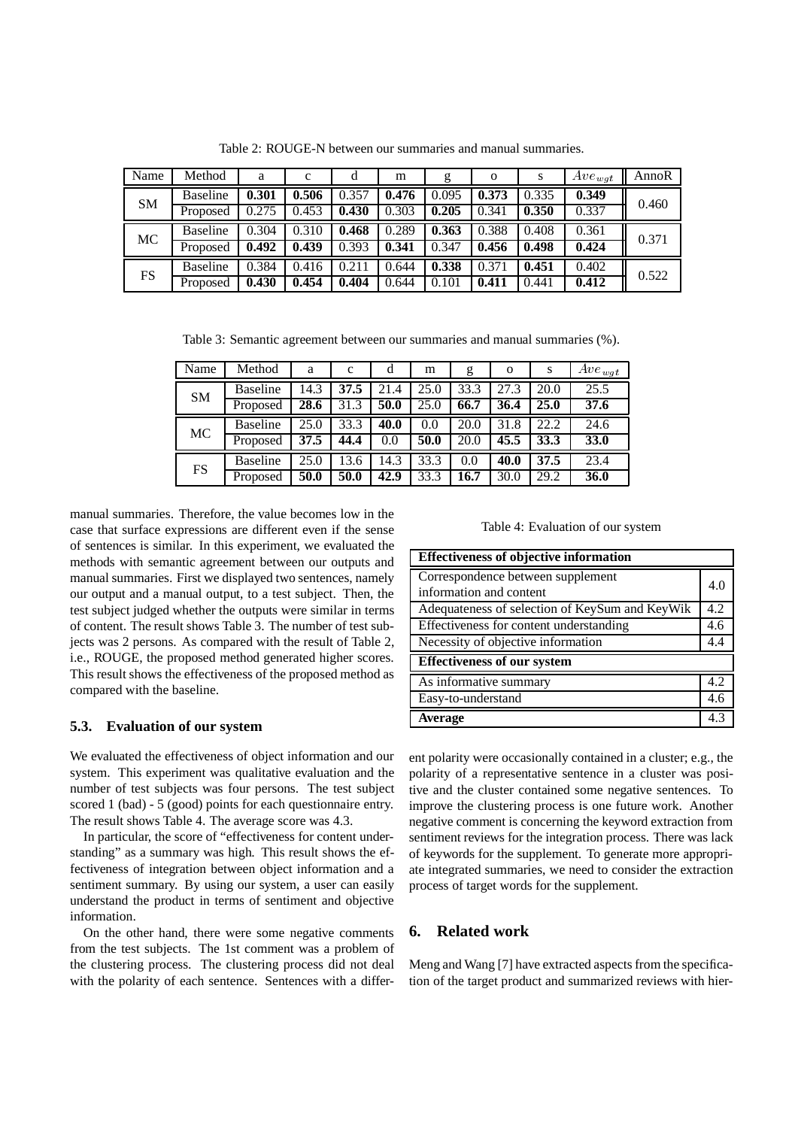| Name      | Method          | a     | $\mathbf c$ | d     | m     | g     | $\Omega$ | S     | $Ave_{wqt}$ | AnnoR |
|-----------|-----------------|-------|-------------|-------|-------|-------|----------|-------|-------------|-------|
| <b>SM</b> | <b>Baseline</b> | 0.301 | 0.506       | 0.357 | 0.476 | 0.095 | 0.373    | 0.335 | 0.349       | 0.460 |
|           | Proposed        | 0.275 | 0.453       | 0.430 | 0.303 | 0.205 | 0.341    | 0.350 | 0.337       |       |
| <b>MC</b> | <b>Baseline</b> | 0.304 | 0.310       | 0.468 | 0.289 | 0.363 | 0.388    | 0.408 | 0.361       | 0.371 |
|           | Proposed        | 0.492 | 0.439       | 0.393 | 0.341 | 0.347 | 0.456    | 0.498 | 0.424       |       |
| FS        | <b>Baseline</b> | 0.384 | 0.416       | 0.211 | 0.644 | 0.338 | 0.371    | 0.451 | 0.402       | 0.522 |
|           | Proposed        | 0.430 | 0.454       | 0.404 | 0.644 | 0.101 | 0.411    | 0.441 | 0.412       |       |

Table 2: ROUGE-N between our summaries and manual summaries.

Table 3: Semantic agreement between our summaries and manual summaries (%).

| Name      | Method          | a    | $\mathbf c$ | d    | m    | g    | $\mathbf{O}$ | s    | $Ave_{wgt}$ |
|-----------|-----------------|------|-------------|------|------|------|--------------|------|-------------|
| <b>SM</b> | <b>Baseline</b> | 14.3 | 37.5        | 21.4 | 25.0 | 33.3 | 27.3         | 20.0 | 25.5        |
|           | Proposed        | 28.6 | 31.3        | 50.0 | 25.0 | 66.7 | 36.4         | 25.0 | 37.6        |
| <b>MC</b> | <b>Baseline</b> | 25.0 | 33.3        | 40.0 | 0.0  | 20.0 | 31.8         | 22.2 | 24.6        |
|           | Proposed        | 37.5 | 44.4        | 0.0  | 50.0 | 20.0 | 45.5         | 33.3 | 33.0        |
| <b>FS</b> | <b>Baseline</b> | 25.0 | 13.6        | 14.3 | 33.3 | 0.0  | 40.0         | 37.5 | 23.4        |
|           | Proposed        | 50.0 | 50.0        | 42.9 | 33.3 | 16.7 | 30.0         | 29.2 | 36.0        |

manual summaries. Therefore, the value becomes low in the case that surface expressions are different even if the sense of sentences is similar. In this experiment, we evaluated the methods with semantic agreement between our outputs and manual summaries. First we displayed two sentences, namely our output and a manual output, to a test subject. Then, the test subject judged whether the outputs were similar in terms of content. The result shows Table 3. The number of test subjects was 2 persons. As compared with the result of Table 2, i.e., ROUGE, the proposed method generated higher scores. This result shows the effectiveness of the proposed method as compared with the baseline.

#### **5.3. Evaluation of our system**

We evaluated the effectiveness of object information and our system. This experiment was qualitative evaluation and the number of test subjects was four persons. The test subject scored 1 (bad) - 5 (good) points for each questionnaire entry. The result shows Table 4. The average score was 4.3.

In particular, the score of "effectiveness for content understanding" as a summary was high. This result shows the effectiveness of integration between object information and a sentiment summary. By using our system, a user can easily understand the product in terms of sentiment and objective information.

On the other hand, there were some negative comments from the test subjects. The 1st comment was a problem of the clustering process. The clustering process did not deal with the polarity of each sentence. Sentences with a differTable 4: Evaluation of our system

| <b>Effectiveness of objective information</b>  |     |  |  |  |  |  |  |
|------------------------------------------------|-----|--|--|--|--|--|--|
| Correspondence between supplement              |     |  |  |  |  |  |  |
| information and content                        |     |  |  |  |  |  |  |
| Adequateness of selection of KeySum and KeyWik |     |  |  |  |  |  |  |
| Effectiveness for content understanding        |     |  |  |  |  |  |  |
| Necessity of objective information             |     |  |  |  |  |  |  |
| <b>Effectiveness of our system</b>             |     |  |  |  |  |  |  |
| As informative summary                         | 4.2 |  |  |  |  |  |  |
| Easy-to-understand                             | 4.6 |  |  |  |  |  |  |
| <b>Average</b>                                 | 4.3 |  |  |  |  |  |  |

ent polarity were occasionally contained in a cluster; e.g., the polarity of a representative sentence in a cluster was positive and the cluster contained some negative sentences. To improve the clustering process is one future work. Another negative comment is concerning the keyword extraction from sentiment reviews for the integration process. There was lack of keywords for the supplement. To generate more appropriate integrated summaries, we need to consider the extraction process of target words for the supplement.

# **6. Related work**

Meng and Wang [7] have extracted aspects from the specification of the target product and summarized reviews with hier